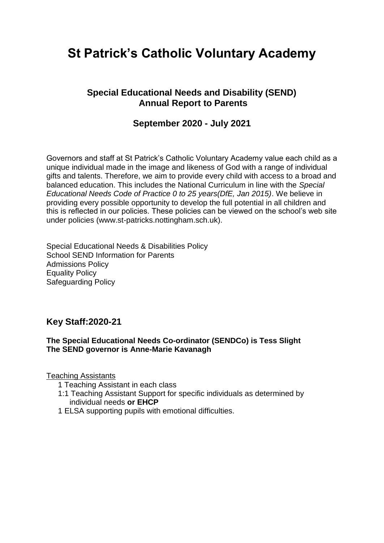# **St Patrick's Catholic Voluntary Academy**

## **Special Educational Needs and Disability (SEND) Annual Report to Parents**

## **September 2020 - July 2021**

Governors and staff at St Patrick's Catholic Voluntary Academy value each child as a unique individual made in the image and likeness of God with a range of individual gifts and talents. Therefore, we aim to provide every child with access to a broad and balanced education. This includes the National Curriculum in line with the *Special Educational Needs Code of Practice 0 to 25 years(DfE, Jan 2015)*. We believe in providing every possible opportunity to develop the full potential in all children and this is reflected in our policies. These policies can be viewed on the school's web site under policies (www.st-patricks.nottingham.sch.uk).

Special Educational Needs & Disabilities Policy School SEND Information for Parents Admissions Policy Equality Policy Safeguarding Policy

### **Key Staff:2020-21**

#### **The Special Educational Needs Co-ordinator (SENDCo) is Tess Slight The SEND governor is Anne-Marie Kavanagh**

Teaching Assistants

- 1 Teaching Assistant in each class
- 1:1 Teaching Assistant Support for specific individuals as determined by individual needs **or EHCP**
- 1 ELSA supporting pupils with emotional difficulties.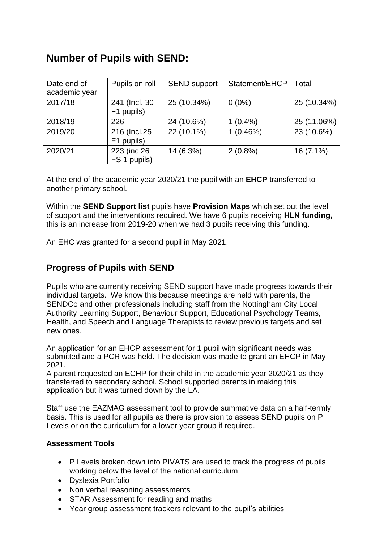## **Number of Pupils with SEND:**

| Date end of<br>academic year | Pupils on roll               | <b>SEND support</b> | Statement/EHCP | Total       |
|------------------------------|------------------------------|---------------------|----------------|-------------|
| 2017/18                      | 241 (Incl. 30<br>F1 pupils)  | 25 (10.34%)         | $0(0\%)$       | 25 (10.34%) |
| 2018/19                      | 226                          | 24 (10.6%)          | $1(0.4\%)$     | 25 (11.06%) |
| 2019/20                      | 216 (Incl.25)<br>F1 pupils)  | 22 (10.1%)          | 1(0.46%)       | 23 (10.6%)  |
| 2020/21                      | 223 (inc 26)<br>FS 1 pupils) | 14 (6.3%)           | $2(0.8\%)$     | 16 (7.1%)   |

At the end of the academic year 2020/21 the pupil with an **EHCP** transferred to another primary school.

Within the **SEND Support list** pupils have **Provision Maps** which set out the level of support and the interventions required. We have 6 pupils receiving **HLN funding,**  this is an increase from 2019-20 when we had 3 pupils receiving this funding.

An EHC was granted for a second pupil in May 2021.

## **Progress of Pupils with SEND**

Pupils who are currently receiving SEND support have made progress towards their individual targets. We know this because meetings are held with parents, the SENDCo and other professionals including staff from the Nottingham City Local Authority Learning Support, Behaviour Support, Educational Psychology Teams, Health, and Speech and Language Therapists to review previous targets and set new ones.

An application for an EHCP assessment for 1 pupil with significant needs was submitted and a PCR was held. The decision was made to grant an EHCP in May 2021.

A parent requested an ECHP for their child in the academic year 2020/21 as they transferred to secondary school. School supported parents in making this application but it was turned down by the LA.

Staff use the EAZMAG assessment tool to provide summative data on a half-termly basis. This is used for all pupils as there is provision to assess SEND pupils on P Levels or on the curriculum for a lower year group if required.

#### **Assessment Tools**

- P Levels broken down into PIVATS are used to track the progress of pupils working below the level of the national curriculum.
- Dyslexia Portfolio
- Non verbal reasoning assessments
- STAR Assessment for reading and maths
- Year group assessment trackers relevant to the pupil's abilities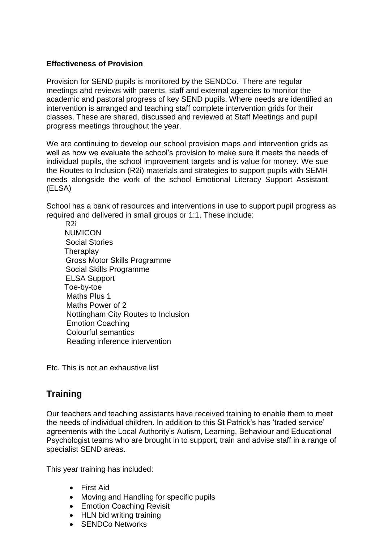#### **Effectiveness of Provision**

Provision for SEND pupils is monitored by the SENDCo. There are regular meetings and reviews with parents, staff and external agencies to monitor the academic and pastoral progress of key SEND pupils. Where needs are identified an intervention is arranged and teaching staff complete intervention grids for their classes. These are shared, discussed and reviewed at Staff Meetings and pupil progress meetings throughout the year.

We are continuing to develop our school provision maps and intervention grids as well as how we evaluate the school's provision to make sure it meets the needs of individual pupils, the school improvement targets and is value for money. We sue the Routes to Inclusion (R2i) materials and strategies to support pupils with SEMH needs alongside the work of the school Emotional Literacy Support Assistant (ELSA)

School has a bank of resources and interventions in use to support pupil progress as required and delivered in small groups or 1:1. These include:

 R2i NUMICON Social Stories **Theraplay**  Gross Motor Skills Programme Social Skills Programme ELSA Support Toe-by-toe Maths Plus 1 Maths Power of 2 Nottingham City Routes to Inclusion Emotion Coaching Colourful semantics Reading inference intervention

Etc. This is not an exhaustive list

## **Training**

Our teachers and teaching assistants have received training to enable them to meet the needs of individual children. In addition to this St Patrick's has 'traded service' agreements with the Local Authority's Autism, Learning, Behaviour and Educational Psychologist teams who are brought in to support, train and advise staff in a range of specialist SEND areas.

This year training has included:

- First Aid
- Moving and Handling for specific pupils
- **•** Emotion Coaching Revisit
- HLN bid writing training
- SENDCo Networks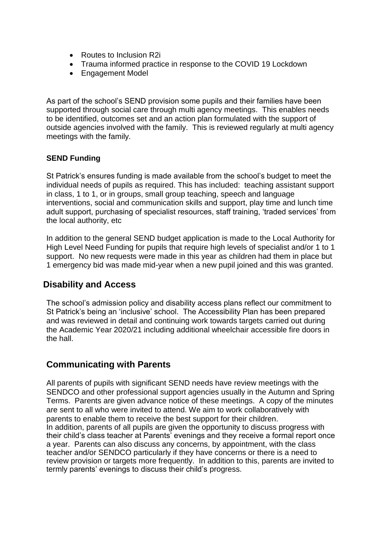- Routes to Inclusion R2i
- Trauma informed practice in response to the COVID 19 Lockdown
- Engagement Model

As part of the school's SEND provision some pupils and their families have been supported through social care through multi agency meetings. This enables needs to be identified, outcomes set and an action plan formulated with the support of outside agencies involved with the family. This is reviewed regularly at multi agency meetings with the family.

#### **SEND Funding**

St Patrick's ensures funding is made available from the school's budget to meet the individual needs of pupils as required. This has included: teaching assistant support in class, 1 to 1, or in groups, small group teaching, speech and language interventions, social and communication skills and support, play time and lunch time adult support, purchasing of specialist resources, staff training, 'traded services' from the local authority, etc

In addition to the general SEND budget application is made to the Local Authority for High Level Need Funding for pupils that require high levels of specialist and/or 1 to 1 support. No new requests were made in this year as children had them in place but 1 emergency bid was made mid-year when a new pupil joined and this was granted.

## **Disability and Access**

The school's admission policy and disability access plans reflect our commitment to St Patrick's being an 'inclusive' school. The Accessibility Plan has been prepared and was reviewed in detail and continuing work towards targets carried out during the Academic Year 2020/21 including additional wheelchair accessible fire doors in the hall.

## **Communicating with Parents**

All parents of pupils with significant SEND needs have review meetings with the SENDCO and other professional support agencies usually in the Autumn and Spring Terms. Parents are given advance notice of these meetings. A copy of the minutes are sent to all who were invited to attend. We aim to work collaboratively with parents to enable them to receive the best support for their children. In addition, parents of all pupils are given the opportunity to discuss progress with their child's class teacher at Parents' evenings and they receive a formal report once a year. Parents can also discuss any concerns, by appointment, with the class teacher and/or SENDCO particularly if they have concerns or there is a need to review provision or targets more frequently. In addition to this, parents are invited to termly parents' evenings to discuss their child's progress.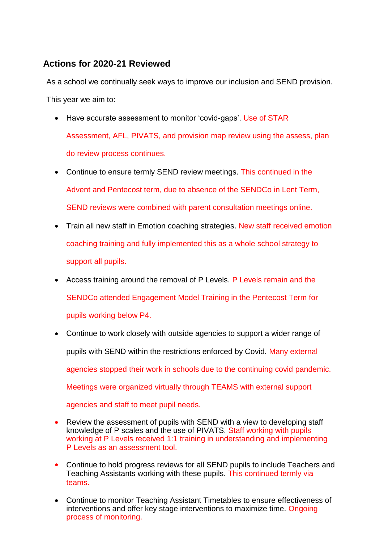## **Actions for 2020-21 Reviewed**

As a school we continually seek ways to improve our inclusion and SEND provision. This year we aim to:

- Have accurate assessment to monitor 'covid-gaps'. Use of STAR Assessment, AFL, PIVATS, and provision map review using the assess, plan do review process continues.
- Continue to ensure termly SEND review meetings. This continued in the Advent and Pentecost term, due to absence of the SENDCo in Lent Term, SEND reviews were combined with parent consultation meetings online.
- Train all new staff in Emotion coaching strategies. New staff received emotion coaching training and fully implemented this as a whole school strategy to support all pupils.
- Access training around the removal of P Levels. P Levels remain and the SENDCo attended Engagement Model Training in the Pentecost Term for pupils working below P4.
- Continue to work closely with outside agencies to support a wider range of pupils with SEND within the restrictions enforced by Covid. Many external agencies stopped their work in schools due to the continuing covid pandemic. Meetings were organized virtually through TEAMS with external support agencies and staff to meet pupil needs.
- Review the assessment of pupils with SEND with a view to developing staff knowledge of P scales and the use of PIVATS. Staff working with pupils working at P Levels received 1:1 training in understanding and implementing P Levels as an assessment tool.
- Continue to hold progress reviews for all SEND pupils to include Teachers and Teaching Assistants working with these pupils. This continued termly via teams.
- Continue to monitor Teaching Assistant Timetables to ensure effectiveness of interventions and offer key stage interventions to maximize time. Ongoing process of monitoring.